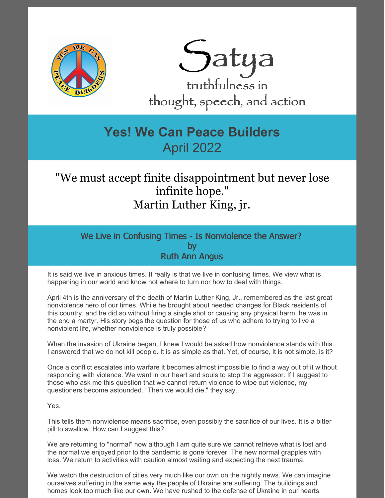



## **Yes! We Can Peace Builders** April 2022

## "We must accept finite disappointment but never lose infinite hope." Martin Luther King, jr.

We Live in Confusing Times - Is Nonviolence the Answer? by Ruth Ann Angus

It is said we live in anxious times. It really is that we live in confusing times. We view what is happening in our world and know not where to turn nor how to deal with things.

April 4th is the anniversary of the death of Martin Luther King, Jr., remembered as the last great nonviolence hero of our times. While he brought about needed changes for Black residents of this country, and he did so without firing a single shot or causing any physical harm, he was in the end a martyr. His story begs the question for those of us who adhere to trying to live a nonviolent life, whether nonviolence is truly possible?

When the invasion of Ukraine began, I knew I would be asked how nonviolence stands with this. I answered that we do not kill people. It is as simple as that. Yet, of course, it is not simple, is it?

Once a conflict escalates into warfare it becomes almost impossible to find a way out of it without responding with violence. We want in our heart and souls to stop the aggressor. If I suggest to those who ask me this question that we cannot return violence to wipe out violence, my questioners become astounded. "Then we would die," they say.

Yes.

This tells them nonviolence means sacrifice, even possibly the sacrifice of our lives. It is a bitter pill to swallow. How can I suggest this?

We are returning to "normal" now although I am quite sure we cannot retrieve what is lost and the normal we enjoyed prior to the pandemic is gone forever. The new normal grapples with loss. We return to activities with caution almost waiting and expecting the next trauma.

We watch the destruction of cities very much like our own on the nightly news. We can imagine ourselves suffering in the same way the people of Ukraine are suffering. The buildings and homes look too much like our own. We have rushed to the defense of Ukraine in our hearts,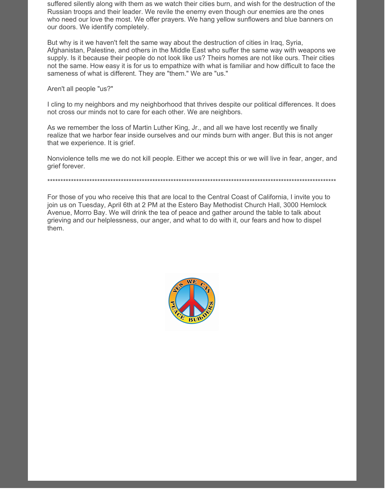suffered silently along with them as we watch their cities burn, and wish for the destruction of the Russian troops and their leader. We revile the enemy even though our enemies are the ones who need our love the most. We offer prayers. We hang yellow sunflowers and blue banners on our doors. We identify completely.

But why is it we haven't felt the same way about the destruction of cities in Iraq, Syria, Afghanistan, Palestine, and others in the Middle East who suffer the same way with weapons we supply. Is it because their people do not look like us? Theirs homes are not like ours. Their cities not the same. How easy it is for us to empathize with what is familiar and how difficult to face the sameness of what is different. They are "them." We are "us."

Aren't all people "us?"

I cling to my neighbors and my neighborhood that thrives despite our political differences. It does not cross our minds not to care for each other. We are neighbors.

As we remember the loss of Martin Luther King, Jr., and all we have lost recently we finally realize that we harbor fear inside ourselves and our minds burn with anger. But this is not anger that we experience. It is grief.

Nonviolence tells me we do not kill people. Either we accept this or we will live in fear, anger, and grief forever.

\*\*\*\*\*\*\*\*\*\*\*\*\*\*\*\*\*\*\*\*\*\*\*\*\*\*\*\*\*\*\*\*\*\*\*\*\*\*\*\*\*\*\*\*\*\*\*\*\*\*\*\*\*\*\*\*\*\*\*\*\*\*\*\*\*\*\*\*\*\*\*\*\*\*\*\*\*\*\*\*\*\*\*\*\*\*\*\*\*\*\*\*\*\*\*\*\*\*\*\*\*\*\*\*\*\*\*\*\*\*

For those of you who receive this that are local to the Central Coast of California, I invite you to join us on Tuesday, April 6th at 2 PM at the Estero Bay Methodist Church Hall, 3000 Hemlock Avenue, Morro Bay. We will drink the tea of peace and gather around the table to talk about grieving and our helplessness, our anger, and what to do with it, our fears and how to dispel them.